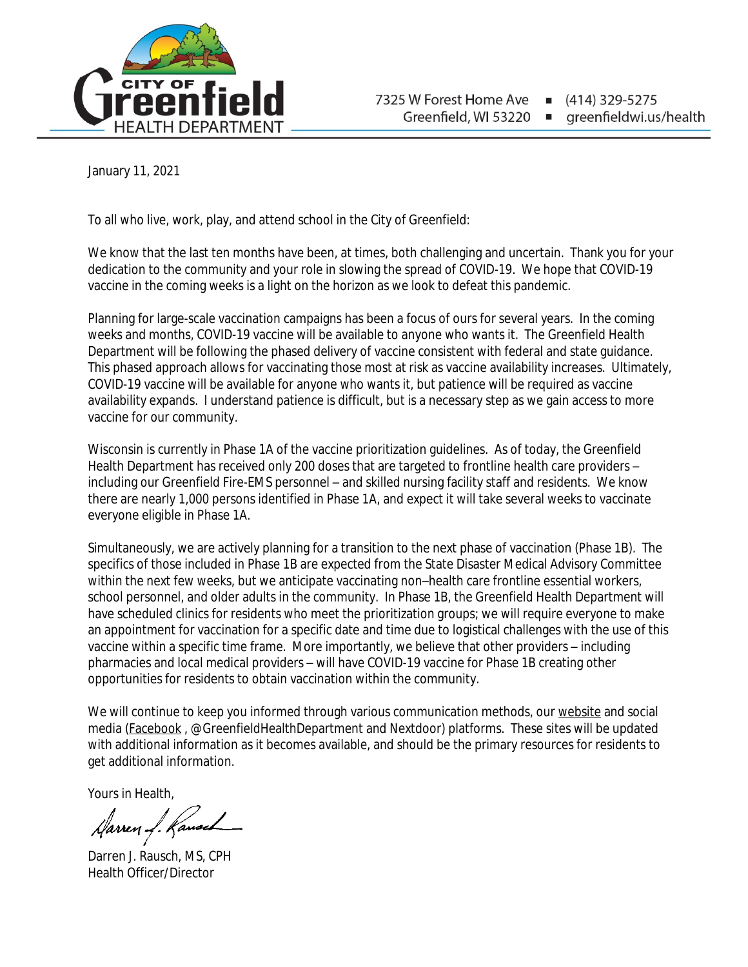

(414) 329-5275 greenfieldwi.us/health

January 11, 2021

To all who live, work, play, and attend school in the City of Greenfield:

We know that the last ten months have been, at times, both challenging and uncertain. Thank you for your dedication to the community and your role in slowing the spread of COVID-19. We hope that COVID-19 vaccine in the coming weeks is a light on the horizon as we look to defeat this pandemic.

Planning for large-scale vaccination campaigns has been a focus of ours for several years. In the coming weeks and months, COVID-19 vaccine will be available to anyone who wants it. The Greenfield Health Department will be following the phased delivery of vaccine consistent with federal and state guidance. This phased approach allows for vaccinating those most at risk as vaccine availability increases. Ultimately, COVID-19 vaccine will be available for anyone who wants it, but patience will be required as vaccine availability expands. I understand patience is difficult, but is a necessary step as we gain access to more vaccine for our community.

Wisconsin is currently in Phase 1A of the vaccine prioritization guidelines. As of today, the Greenfield Health Department has received only 200 doses that are targeted to frontline health care providers – including our Greenfield Fire-EMS personnel – and skilled nursing facility staff and residents. We know there are nearly 1,000 persons identified in Phase 1A, and expect it will take several weeks to vaccinate everyone eligible in Phase 1A.

Simultaneously, we are actively planning for a transition to the next phase of vaccination (Phase 1B). The specifics of those included in Phase 1B are expected from the State Disaster Medical Advisory Committee within the next few weeks, but we anticipate vaccinating non–health care frontline essential workers, school personnel, and older adults in the community. In Phase 1B, the Greenfield Health Department will have scheduled clinics for residents who meet the prioritization groups; we will require everyone to make an appointment for vaccination for a specific date and time due to logistical challenges with the use of this vaccine within a specific time frame. More importantly, we believe that other providers – including pharmacies and local medical providers – will have COVID-19 vaccine for Phase 1B creating other opportunities for residents to obtain vaccination within the community.

We will continue to keep you informed through various communication methods, our [website](https://www.ci.greenfield.wi.us/1164/Coronavirus-COVID-19) and social media ([Facebook](https://www.facebook.com/GreenfieldHealthDepartment/) , @GreenfieldHealthDepartment and Nextdoor) platforms. These sites will be updated with additional information as it becomes available, and should be the primary resources for residents to get additional information.

Yours in Health,

Harren J. Kanses

Darren J. Rausch, MS, CPH Health Officer/Director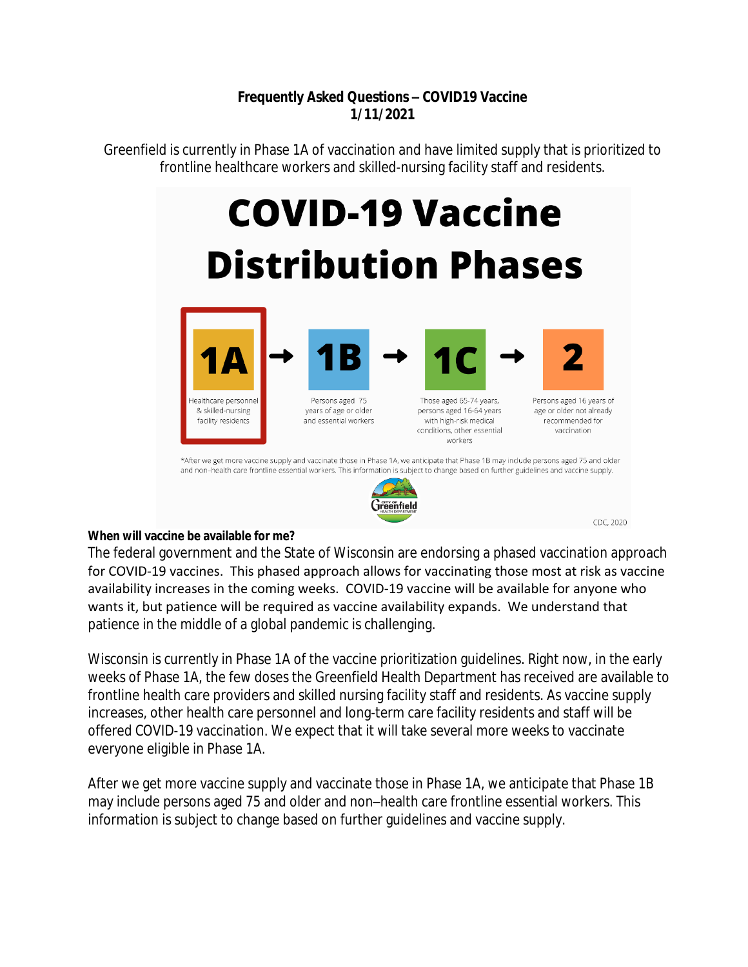## **Frequently Asked Questions – COVID19 Vaccine 1/11/2021**

Greenfield is currently in Phase 1A of vaccination and have limited supply that is prioritized to frontline healthcare workers and skilled-nursing facility staff and residents.

# **COVID-19 Vaccine Distribution Phases**





CDC, 2020

### **When will vaccine be available for me?**

The federal government and the State of Wisconsin are endorsing a phased vaccination approach for COVID-19 vaccines. This phased approach allows for vaccinating those most at risk as vaccine availability increases in the coming weeks. COVID-19 vaccine will be available for anyone who wants it, but patience will be required as vaccine availability expands. We understand that patience in the middle of a global pandemic is challenging.

Wisconsin is currently in Phase 1A of the vaccine prioritization guidelines. Right now, in the early weeks of Phase 1A, the few doses the Greenfield Health Department has received are available to frontline health care providers and skilled nursing facility staff and residents. As vaccine supply increases, other health care personnel and long-term care facility residents and staff will be offered COVID-19 vaccination. We expect that it will take several more weeks to vaccinate everyone eligible in Phase 1A.

[After we get more vaccine supply and vaccinate those in Phase 1A, we anticipate that Phase 1B](https://www.dhs.wisconsin.gov/covid-19/vaccine-about.htm)  [may include persons aged 75 and older and non](https://www.dhs.wisconsin.gov/covid-19/vaccine-about.htm)–health care frontline essential workers. This [information is subject to change based on further guidelines and vaccine supply.](https://www.dhs.wisconsin.gov/covid-19/vaccine-about.htm)